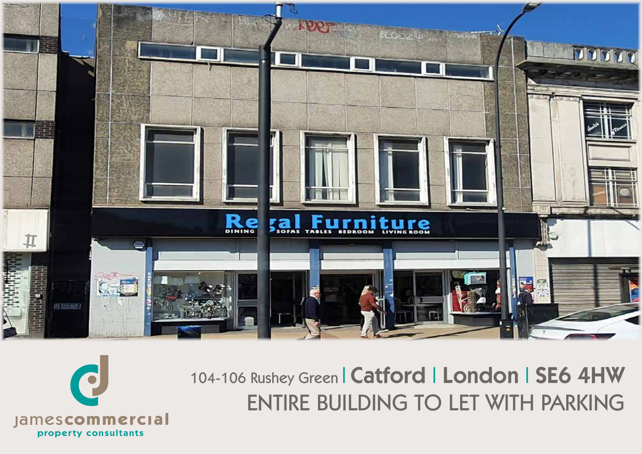



104-106 Rushey Green | Catford | London | SE6 4HW ENTIRE BUILDING TO LET WITH PARKING